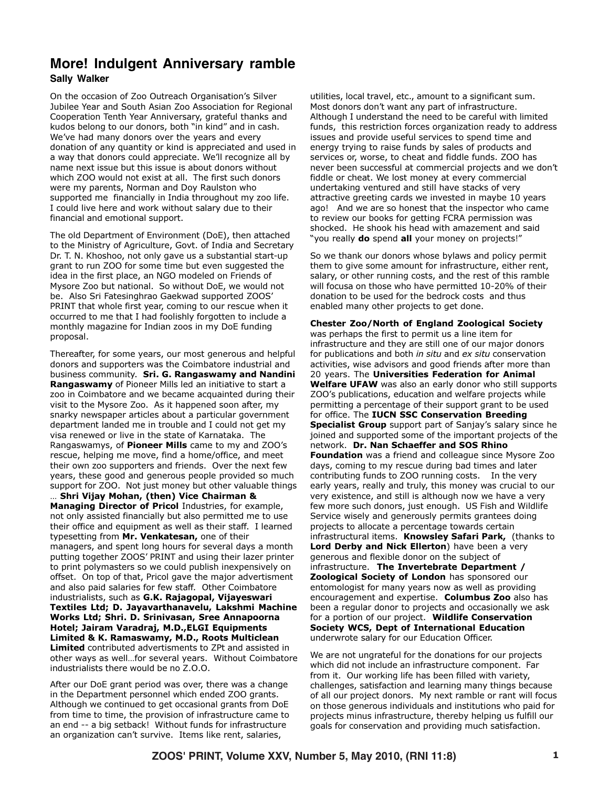### More! Indulgent Anniversary ramble **Sally Walker**

On the occasion of Zoo Outreach Organisation's Silver Jubilee Year and South Asian Zoo Association for Regional Cooperation Tenth Year Anniversary, grateful thanks and kudos belong to our donors, both "in kind" and in cash. We've had many donors over the years and every donation of any quantity or kind is appreciated and used in a way that donors could appreciate. We'll recognize all by name next issue but this issue is about donors without which ZOO would not exist at all. The first such donors were my parents, Norman and Doy Raulston who supported me financially in India throughout my zoo life. I could live here and work without salary due to their financial and emotional support.

The old Department of Environment (DoE), then attached to the Ministry of Agriculture, Govt. of India and Secretary Dr. T. N. Khoshoo, not only gave us a substantial start-up grant to run ZOO for some time but even suggested the idea in the first place, an NGO modeled on Friends of Mysore Zoo but national. So without DoE, we would not be. Also Sri Fatesinghrao Gaekwad supported ZOOS' PRINT that whole first year, coming to our rescue when it occurred to me that I had foolishly forgotten to include a monthly magazine for Indian zoos in my DoE funding proposal.

Thereafter, for some years, our most generous and helpful donors and supporters was the Coimbatore industrial and business community. Sri. G. Rangaswamy and Nandini Rangaswamy of Pioneer Mills led an initiative to start a zoo in Coimbatore and we became acquainted during their visit to the Mysore Zoo. As it happened soon after, my snarky newspaper articles about a particular government department landed me in trouble and I could not get my visa renewed or live in the state of Karnataka. The Rangaswamys, of **Pioneer Mills** came to my and ZOO's rescue, helping me move, find a home/office, and meet their own zoo supporters and friends. Over the next few years, these good and generous people provided so much support for ZOO. Not just money but other valuable things Shri Vijay Mohan, (then) Vice Chairman & Managing Director of Pricol Industries, for example, not only assisted financially but also permitted me to use their office and equipment as well as their staff. I learned typesetting from Mr. Venkatesan, one of their managers, and spent long hours for several days a month putting together ZOOS' PRINT and using their lazer printer to print polymasters so we could publish inexpensively on offset. On top of that, Pricol gave the major advertisment and also paid salaries for few staff. Other Coimbatore industrialists, such as G.K. Rajagopal, Vijayeswari Textiles Ltd; D. Jayavarthanavelu, Lakshmi Machine Works Ltd; Shri. D. Srinivasan, Sree Annapoorna Hotel; Jairam Varadraj, M.D., ELGI Equipments Limited & K. Ramaswamy, M.D., Roots Multiclean **Limited** contributed advertisments to ZPt and assisted in other ways as well...for several years. Without Coimbatore industrialists there would be no Z.O.O.

After our DoE grant period was over, there was a change in the Department personnel which ended ZOO grants. Although we continued to get occasional grants from DoE from time to time, the provision of infrastructure came to an end -- a big setback! Without funds for infrastructure an organization can't survive. Items like rent, salaries,

utilities, local travel, etc., amount to a significant sum. Most donors don't want any part of infrastructure. Although I understand the need to be careful with limited funds, this restriction forces organization ready to address issues and provide useful services to spend time and energy trying to raise funds by sales of products and services or, worse, to cheat and fiddle funds. ZOO has never been successful at commercial projects and we don't fiddle or cheat. We lost money at every commercial undertaking ventured and still have stacks of very attractive greeting cards we invested in maybe 10 years ago! And we are so honest that the inspector who came to review our books for getting FCRA permission was shocked. He shook his head with amazement and said "you really **do** spend all your money on projects!"

So we thank our donors whose bylaws and policy permit them to give some amount for infrastructure, either rent, salary, or other running costs, and the rest of this ramble will focusa on those who have permitted 10-20% of their donation to be used for the bedrock costs and thus enabled many other projects to get done.

# **Chester Zoo/North of England Zoological Society**

was perhaps the first to permit us a line item for infrastructure and they are still one of our major donors for publications and both in situ and ex situ conservation activities, wise advisors and good friends after more than 20 years. The Universities Federation for Animal Welfare UFAW was also an early donor who still supports ZOO's publications, education and welfare projects while permitting a percentage of their support grant to be used for office. The IUCN SSC Conservation Breeding Specialist Group support part of Sanjay's salary since he joined and supported some of the important projects of the network. Dr. Nan Schaeffer and SOS Rhino **Foundation** was a friend and colleague since Mysore Zoo days, coming to my rescue during bad times and later contributing funds to ZOO running costs. In the very early years, really and truly, this money was crucial to our very existence, and still is although now we have a very few more such donors, just enough. US Fish and Wildlife Service wisely and generously permits grantees doing projects to allocate a percentage towards certain infrastructural items. Knowsley Safari Park, (thanks to Lord Derby and Nick Ellerton) have been a very generous and flexible donor on the subject of infrastructure. The Invertebrate Department / Zoological Society of London has sponsored our entomologist for many years now as well as providing encouragement and expertise. Columbus Zoo also has been a regular donor to projects and occasionally we ask for a portion of our project. Wildlife Conservation Society WCS, Dept of International Education underwrote salary for our Education Officer.

We are not ungrateful for the donations for our projects which did not include an infrastructure component. Far from it. Our working life has been filled with variety, challenges, satisfaction and learning many things because of all our project donors. My next ramble or rant will focus on those generous individuals and institutions who paid for projects minus infrastructure, thereby helping us fulfill our goals for conservation and providing much satisfaction.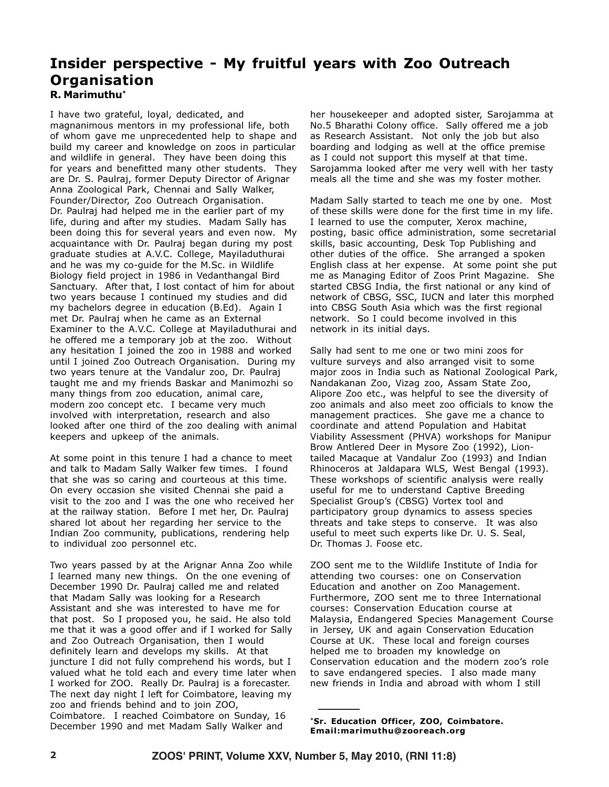## Insider perspective - My fruitful years with Zoo Outreach **Organisation** R. Marimuthu\*

I have two grateful, loyal, dedicated, and magnanimous mentors in my professional life, both of whom gave me unprecedented help to shape and build my career and knowledge on zoos in particular and wildlife in general. They have been doing this for years and benefitted many other students. They are Dr. S. Paulraj, former Deputy Director of Arignar Anna Zoological Park, Chennai and Sally Walker, Founder/Director, Zoo Outreach Organisation. Dr. Paulraj had helped me in the earlier part of my life, during and after my studies. Madam Sally has been doing this for several years and even now. My acquaintance with Dr. Paulraj began during my post graduate studies at A.V.C. College, Mayiladuthurai and he was my co-quide for the M.Sc. in Wildlife Biology field project in 1986 in Vedanthangal Bird Sanctuary. After that, I lost contact of him for about two years because I continued my studies and did my bachelors degree in education (B.Ed). Again I met Dr. Paulraj when he came as an External Examiner to the A.V.C. College at Mayiladuthurai and he offered me a temporary job at the zoo. Without any hesitation I joined the zoo in 1988 and worked until I joined Zoo Outreach Organisation. During my two years tenure at the Vandalur zoo, Dr. Paulraj taught me and my friends Baskar and Manimozhi so many things from zoo education, animal care, modern zoo concept etc. I became very much involved with interpretation, research and also looked after one third of the zoo dealing with animal keepers and upkeep of the animals.

At some point in this tenure I had a chance to meet and talk to Madam Sally Walker few times. I found that she was so caring and courteous at this time. On every occasion she visited Chennai she paid a visit to the zoo and I was the one who received her at the railway station. Before I met her. Dr. Paulrai shared lot about her regarding her service to the Indian Zoo community, publications, rendering help to individual zoo personnel etc.

Two years passed by at the Arignar Anna Zoo while I learned many new things. On the one evening of December 1990 Dr. Paulraj called me and related that Madam Sally was looking for a Research Assistant and she was interested to have me for that post. So I proposed you, he said. He also told me that it was a good offer and if I worked for Sally and Zoo Outreach Organisation, then I would definitely learn and develops my skills. At that juncture I did not fully comprehend his words, but I valued what he told each and every time later when I worked for ZOO. Really Dr. Paulraj is a forecaster. The next day night I left for Coimbatore, leaving my zoo and friends behind and to join ZOO, Coimbatore. I reached Coimbatore on Sunday, 16 December 1990 and met Madam Sally Walker and

her housekeeper and adopted sister, Sarojamma at No.5 Bharathi Colony office. Sally offered me a job as Research Assistant. Not only the job but also boarding and lodging as well at the office premise as I could not support this myself at that time. Sarojamma looked after me very well with her tasty meals all the time and she was my foster mother.

Madam Sally started to teach me one by one. Most of these skills were done for the first time in my life. I learned to use the computer, Xerox machine, posting, basic office administration, some secretarial skills, basic accounting, Desk Top Publishing and other duties of the office. She arranged a spoken English class at her expense. At some point she put me as Managing Editor of Zoos Print Magazine. She started CBSG India, the first national or any kind of network of CBSG, SSC, IUCN and later this morphed into CBSG South Asia which was the first regional network. So I could become involved in this network in its initial days.

Sally had sent to me one or two mini zoos for vulture surveys and also arranged visit to some major zoos in India such as National Zoological Park, Nandakanan Zoo, Vizag zoo, Assam State Zoo, Alipore Zoo etc., was helpful to see the diversity of zoo animals and also meet zoo officials to know the management practices. She gave me a chance to coordinate and attend Population and Habitat Viability Assessment (PHVA) workshops for Manipur Brow Antlered Deer in Mysore Zoo (1992), Liontailed Macaque at Vandalur Zoo (1993) and Indian Rhinoceros at Jaldapara WLS, West Bengal (1993). These workshops of scientific analysis were really useful for me to understand Captive Breeding Specialist Group's (CBSG) Vortex tool and participatory group dynamics to assess species threats and take steps to conserve. It was also useful to meet such experts like Dr. U. S. Seal, Dr. Thomas J. Foose etc.

ZOO sent me to the Wildlife Institute of India for attending two courses: one on Conservation Education and another on Zoo Management. Furthermore, ZOO sent me to three International courses: Conservation Education course at Malaysia, Endangered Species Management Course in Jersey, UK and again Conservation Education Course at UK. These local and foreign courses helped me to broaden my knowledge on Conservation education and the modern zoo's role to save endangered species. I also made many new friends in India and abroad with whom I still

\*Sr. Education Officer, ZOO, Coimbatore. Email:marimuthu@zooreach.org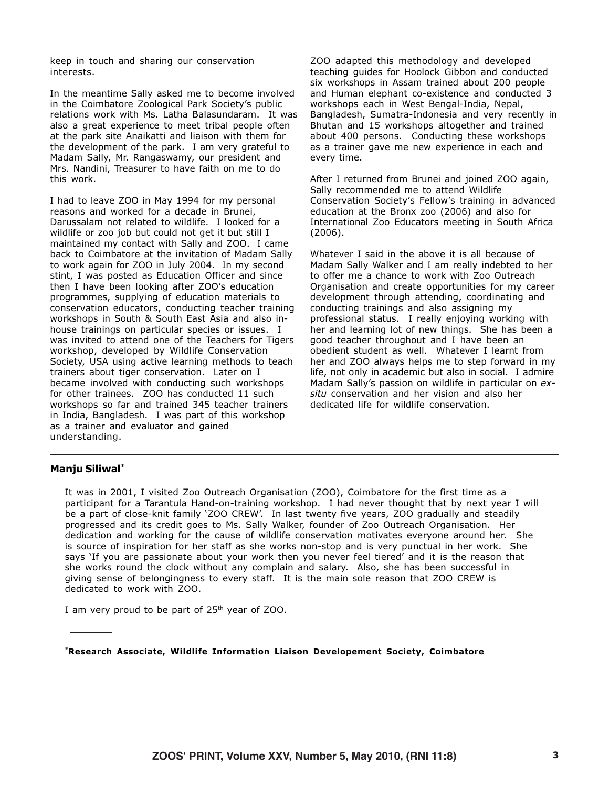keep in touch and sharing our conservation interests.

In the meantime Sally asked me to become involved in the Coimbatore Zoological Park Society's public relations work with Ms. Latha Balasundaram. It was also a great experience to meet tribal people often at the park site Anaikatti and liaison with them for the development of the park. I am very grateful to Madam Sally, Mr. Rangaswamy, our president and Mrs. Nandini, Treasurer to have faith on me to do this work.

I had to leave ZOO in May 1994 for my personal reasons and worked for a decade in Brunei, Darussalam not related to wildlife. I looked for a wildlife or zoo job but could not get it but still I maintained my contact with Sally and ZOO. I came back to Coimbatore at the invitation of Madam Sally to work again for ZOO in July 2004. In my second stint, I was posted as Education Officer and since then I have been looking after ZOO's education programmes, supplying of education materials to conservation educators, conducting teacher training workshops in South & South East Asia and also inhouse trainings on particular species or issues. I was invited to attend one of the Teachers for Tigers workshop, developed by Wildlife Conservation Society, USA using active learning methods to teach trainers about tiger conservation. Later on I became involved with conducting such workshops for other trainees. ZOO has conducted 11 such workshops so far and trained 345 teacher trainers in India, Bangladesh. I was part of this workshop as a trainer and evaluator and gained understanding.

ZOO adapted this methodology and developed teaching quides for Hoolock Gibbon and conducted six workshops in Assam trained about 200 people and Human elephant co-existence and conducted 3 workshops each in West Bengal-India, Nepal, Bangladesh, Sumatra-Indonesia and very recently in Bhutan and 15 workshops altogether and trained about 400 persons. Conducting these workshops as a trainer gave me new experience in each and every time.

After I returned from Brunei and joined ZOO again, Sally recommended me to attend Wildlife Conservation Society's Fellow's training in advanced education at the Bronx zoo (2006) and also for International Zoo Educators meeting in South Africa  $(2006).$ 

Whatever I said in the above it is all because of Madam Sally Walker and I am really indebted to her to offer me a chance to work with Zoo Outreach Organisation and create opportunities for my career development through attending, coordinating and conducting trainings and also assigning my professional status. I really enjoying working with her and learning lot of new things. She has been a good teacher throughout and I have been an obedient student as well. Whatever I learnt from her and ZOO always helps me to step forward in my life, not only in academic but also in social. I admire Madam Sally's passion on wildlife in particular on exsitu conservation and her vision and also her dedicated life for wildlife conservation.

#### Manju Siliwal\*

It was in 2001, I visited Zoo Outreach Organisation (ZOO), Coimbatore for the first time as a participant for a Tarantula Hand-on-training workshop. I had never thought that by next year I will be a part of close-knit family 'ZOO CREW'. In last twenty five years, ZOO gradually and steadily progressed and its credit goes to Ms. Sally Walker, founder of Zoo Outreach Organisation. Her dedication and working for the cause of wildlife conservation motivates everyone around her. She is source of inspiration for her staff as she works non-stop and is very punctual in her work. She says 'If you are passionate about your work then you never feel tiered' and it is the reason that she works round the clock without any complain and salary. Also, she has been successful in giving sense of belongingness to every staff. It is the main sole reason that ZOO CREW is dedicated to work with ZOO.

I am very proud to be part of 25<sup>th</sup> year of ZOO.

\*Research Associate, Wildlife Information Liaison Developement Society, Coimbatore